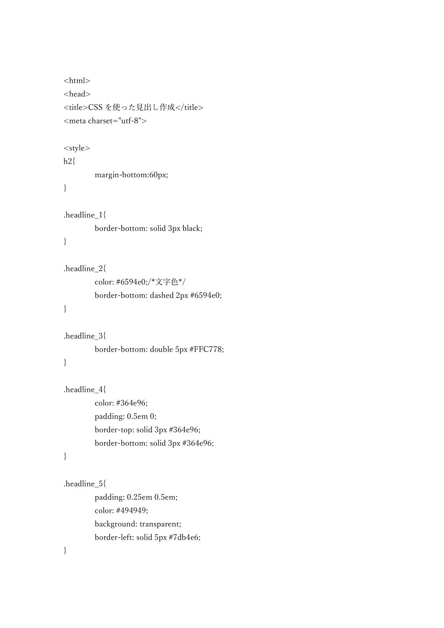```
<html>
<head>
<title>CSS を使った見出し作成</title>
<meta charset="utf-8">
<style>
h2{
        margin-bottom:60px;
.headline_1{
        border-bottom: solid 3px black;
.headline_2{
        color: #6594e0;/*文字色*/
        border-bottom: dashed 2px #6594e0;
.headline_3{
        border-bottom: double 5px #FFC778;
.headline_4{
        color: #364e96;
        padding: 0.5em 0;
        border-top: solid 3px #364e96;
        border-bottom: solid 3px #364e96;
.headline_5{
        padding: 0.25em 0.5em;
        color: #494949;
        background: transparent;
        border-left: solid 5px #7db4e6;
```

```
}
```
}

}

}

}

}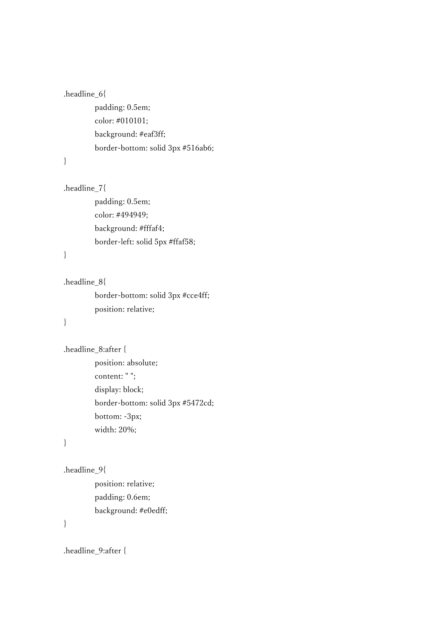```
.headline 6{
```
padding: 0.5em; color: #010101; background: #eaf3ff; border-bottom: solid 3px #516ab6;

}

```
.headline_7{
```
padding: 0.5em; color: #494949; background: #fffaf4; border-left: solid 5px #ffaf58;

}

.headline\_8{

border-bottom: solid 3px #cce4ff; position: relative;

}

.headline\_8:after { position: absolute; content: " "; display: block; border-bottom: solid 3px #5472cd; bottom: -3px; width: 20%;

}

```
.headline_9{
```
position: relative; padding: 0.6em; background: #e0edff;

}

.headline\_9:after {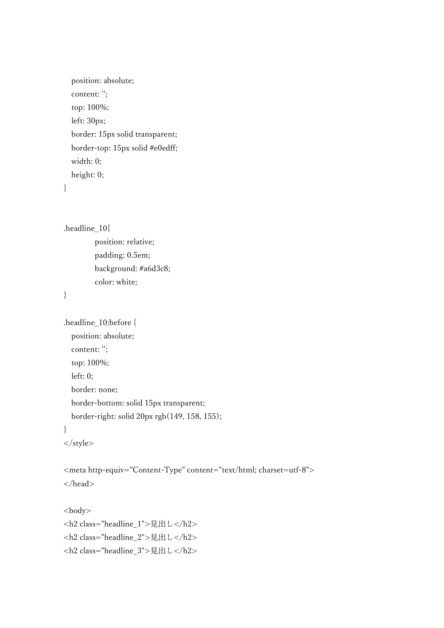```
 position: absolute;
 content: '';
 top: 100%;
 left: 30px;
 border: 15px solid transparent;
 border-top: 15px solid #e0edff;
 width: 0;
 height: 0;
```
}

```
.headline_10{
```
position: relative; padding: 0.5em; background: #a6d3c8; color: white;

}

```
.headline_10:before {
   position: absolute;
   content: '';
   top: 100%;
   left: 0;
   border: none;
   border-bottom: solid 15px transparent;
   border-right: solid 20px rgb(149, 158, 155);
}
</style>
```

```
<meta http-equiv="Content-Type" content="text/html; charset=utf-8">
</head>
```

```
<body>
<h2 class="headline_1">見出し</h2>
<h2 class="headline_2">見出し</h2>
<h2 class="headline_3">見出し</h2>
```